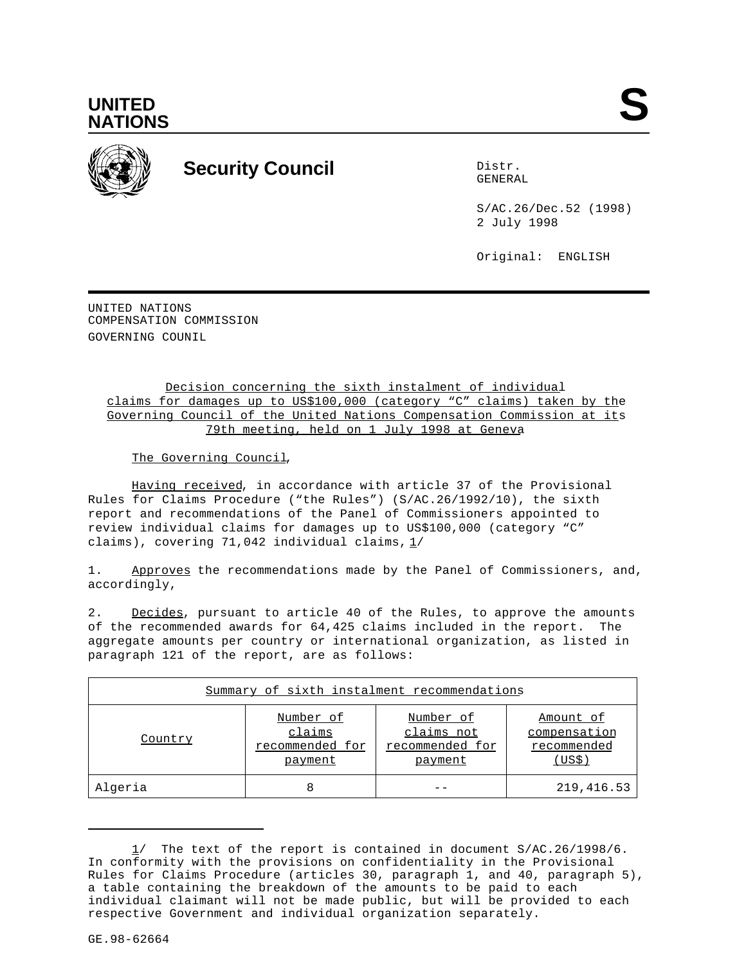



# **Security Council** Distribution of the Distribution of the Distribution of the Distribution of the Distribution of the Distribution of the Distribution of the Distribution of the Distribution of the Distribution of the Dis

GENERAL

S/AC.26/Dec.52 (1998) 2 July 1998

Original: ENGLISH

UNITED NATIONS COMPENSATION COMMISSION GOVERNING COUNIL

> Decision concerning the sixth instalment of individual claims for damages up to US\$100,000 (category "C" claims) taken by the Governing Council of the United Nations Compensation Commission at its 79th meeting, held on 1 July 1998 at Geneva

The Governing Council,

Having received, in accordance with article 37 of the Provisional Rules for Claims Procedure ("the Rules") (S/AC.26/1992/10), the sixth report and recommendations of the Panel of Commissioners appointed to review individual claims for damages up to US\$100,000 (category "C" claims), covering 71,042 individual claims,  $1/$ 

1. Approves the recommendations made by the Panel of Commissioners, and, accordingly,

2. Decides, pursuant to article 40 of the Rules, to approve the amounts of the recommended awards for 64,425 claims included in the report. The aggregate amounts per country or international organization, as listed in paragraph 121 of the report, are as follows:

| Summary of sixth instalment recommendations |                                                   |                                                       |                                                   |
|---------------------------------------------|---------------------------------------------------|-------------------------------------------------------|---------------------------------------------------|
| Country                                     | Number of<br>claims<br>recommended for<br>payment | Number of<br>claims not<br>recommended for<br>payment | Amount of<br>compensation<br>recommended<br>(USS) |
| Algeria                                     | 8                                                 |                                                       | 219,416.53                                        |

<sup>1/</sup> The text of the report is contained in document S/AC.26/1998/6. In conformity with the provisions on confidentiality in the Provisional Rules for Claims Procedure (articles 30, paragraph 1, and 40, paragraph 5), a table containing the breakdown of the amounts to be paid to each individual claimant will not be made public, but will be provided to each respective Government and individual organization separately.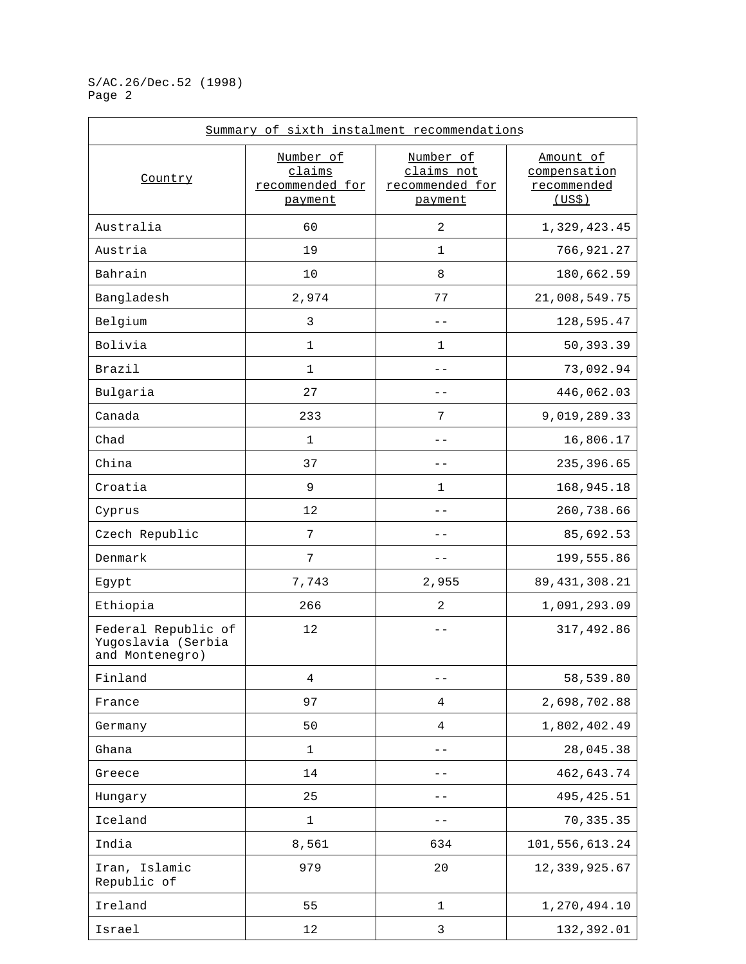| Summary of sixth instalment recommendations                  |                                        |                                            |                                          |
|--------------------------------------------------------------|----------------------------------------|--------------------------------------------|------------------------------------------|
| Country                                                      | Number of<br>claims<br>recommended for | Number of<br>claims not<br>recommended for | Amount of<br>compensation<br>recommended |
|                                                              | payment                                | payment                                    | (US\$)                                   |
| Australia                                                    | 60                                     | 2                                          | 1,329,423.45                             |
| Austria                                                      | 19                                     | $\mathbf 1$                                | 766,921.27                               |
| Bahrain                                                      | 10                                     | 8                                          | 180,662.59                               |
| Bangladesh                                                   | 2,974                                  | 77                                         | 21,008,549.75                            |
| Belgium                                                      | $\mathbf{3}$                           |                                            | 128,595.47                               |
| Bolivia                                                      | $\mathbf 1$                            | 1                                          | 50,393.39                                |
| Brazil                                                       | $\mathbf{1}$                           | $ -$                                       | 73,092.94                                |
| Bulgaria                                                     | 27                                     |                                            | 446,062.03                               |
| Canada                                                       | 233                                    | 7                                          | 9,019,289.33                             |
| Chad                                                         | $\mathbf{1}$                           |                                            | 16,806.17                                |
| China                                                        | 37                                     |                                            | 235,396.65                               |
| Croatia                                                      | 9                                      | 1                                          | 168,945.18                               |
| Cyprus                                                       | 12                                     |                                            | 260,738.66                               |
| Czech Republic                                               | 7                                      |                                            | 85,692.53                                |
| Denmark                                                      | 7                                      | $-$                                        | 199,555.86                               |
| Egypt                                                        | 7,743                                  | 2,955                                      | 89, 431, 308.21                          |
| Ethiopia                                                     | 266                                    | 2                                          | 1,091,293.09                             |
| Federal Republic of<br>Yugoslavia (Serbia<br>and Montenegro) | 12                                     | $ -$                                       | 317,492.86                               |
| Finland                                                      | 4                                      |                                            | 58,539.80                                |
| France                                                       | 97                                     | 4                                          | 2,698,702.88                             |
| Germany                                                      | 50                                     | $\,4$                                      | 1,802,402.49                             |
| Ghana                                                        | $\mathbf 1$                            |                                            | 28,045.38                                |
| Greece                                                       | 14                                     | $ -$                                       | 462,643.74                               |
| Hungary                                                      | 25                                     |                                            | 495, 425.51                              |
| Iceland                                                      | $1\,$                                  |                                            | 70,335.35                                |
| India                                                        | 8,561                                  | 634                                        | 101,556,613.24                           |
| Iran, Islamic<br>Republic of                                 | 979                                    | 20                                         | 12,339,925.67                            |
| Ireland                                                      | 55                                     | 1                                          | 1,270,494.10                             |
| Israel                                                       | 12                                     | $\mathsf{3}$                               | 132,392.01                               |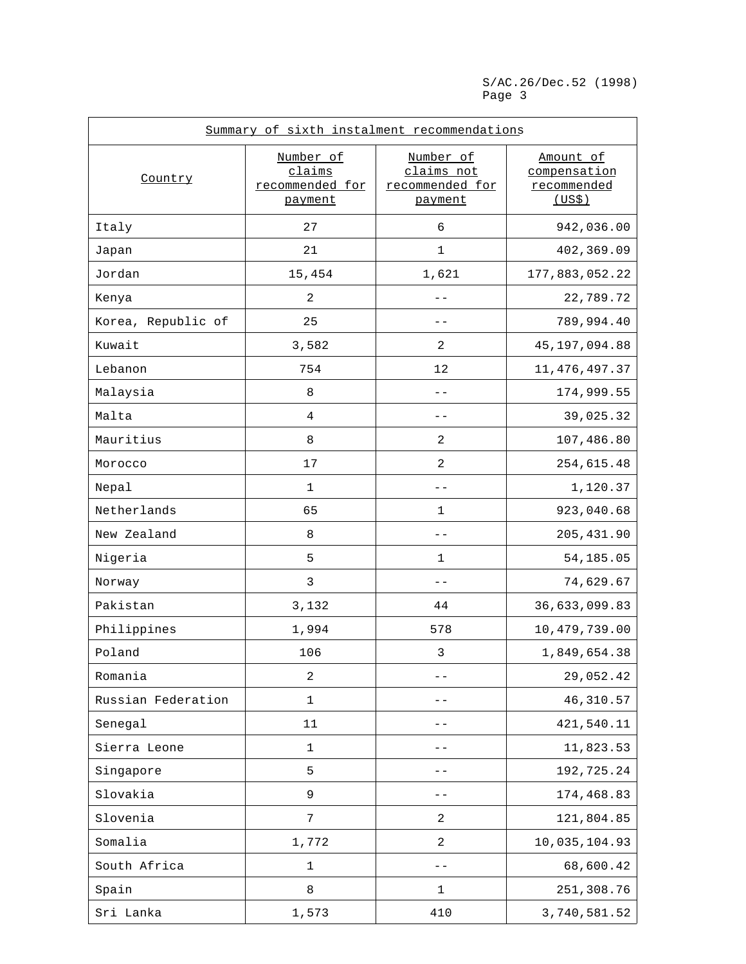| Summary of sixth instalment recommendations |                                                   |                                                       |                                                    |
|---------------------------------------------|---------------------------------------------------|-------------------------------------------------------|----------------------------------------------------|
| Country                                     | Number of<br>claims<br>recommended for<br>payment | Number of<br>claims not<br>recommended for<br>payment | Amount of<br>compensation<br>recommended<br>(US\$) |
| Italy                                       | 27                                                | 6                                                     | 942,036.00                                         |
| Japan                                       | 21                                                | 1                                                     | 402,369.09                                         |
| Jordan                                      | 15,454                                            | 1,621                                                 | 177,883,052.22                                     |
| Kenya                                       | $\mathbf{2}$                                      |                                                       | 22,789.72                                          |
| Korea, Republic of                          | 25                                                |                                                       | 789,994.40                                         |
| Kuwait                                      | 3,582                                             | 2                                                     | 45, 197, 094.88                                    |
| Lebanon                                     | 754                                               | 12                                                    | 11, 476, 497.37                                    |
| Malaysia                                    | 8                                                 |                                                       | 174,999.55                                         |
| Malta                                       | 4                                                 |                                                       | 39,025.32                                          |
| Mauritius                                   | 8                                                 | 2                                                     | 107,486.80                                         |
| Morocco                                     | 17                                                | 2                                                     | 254,615.48                                         |
| Nepal                                       | 1                                                 |                                                       | 1,120.37                                           |
| Netherlands                                 | 65                                                | 1                                                     | 923,040.68                                         |
| New Zealand                                 | 8                                                 |                                                       | 205, 431.90                                        |
| Nigeria                                     | 5                                                 | 1                                                     | 54,185.05                                          |
| Norway                                      | 3                                                 |                                                       | 74,629.67                                          |
| Pakistan                                    | 3,132                                             | 44                                                    | 36,633,099.83                                      |
| Philippines                                 | 1,994                                             | 578                                                   | 10,479,739.00                                      |
| Poland                                      | 106                                               | 3                                                     | 1,849,654.38                                       |
| Romania                                     | $\sqrt{2}$                                        |                                                       | 29,052.42                                          |
| Russian Federation                          | $\mathbf 1$                                       |                                                       | 46, 310.57                                         |
| Senegal                                     | 11                                                |                                                       | 421,540.11                                         |
| Sierra Leone                                | 1                                                 |                                                       | 11,823.53                                          |
| Singapore                                   | 5                                                 |                                                       | 192,725.24                                         |
| Slovakia                                    | $\mathsf 9$                                       |                                                       | 174,468.83                                         |
| Slovenia                                    | $\boldsymbol{7}$                                  | 2                                                     | 121,804.85                                         |
| Somalia                                     | 1,772                                             | 2                                                     | 10,035,104.93                                      |
| South Africa                                | $1\,$                                             |                                                       | 68,600.42                                          |
| Spain                                       | 8                                                 | 1                                                     | 251,308.76                                         |
| Sri Lanka                                   | 1,573                                             | 410                                                   | 3,740,581.52                                       |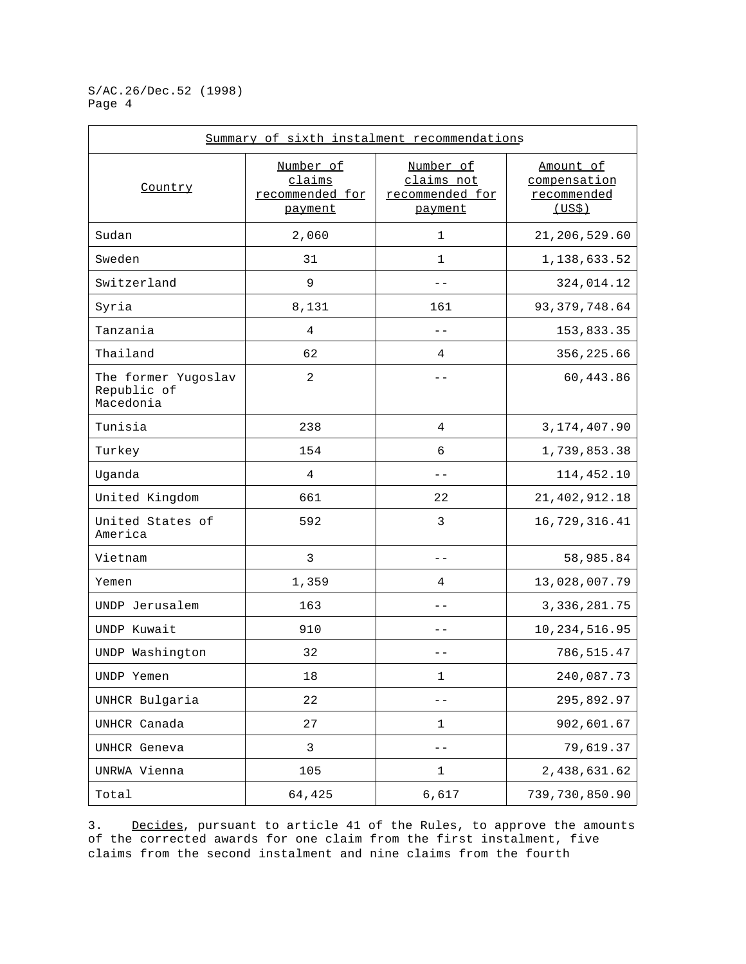| Summary of sixth instalment recommendations     |                                                   |                                                       |                                                    |
|-------------------------------------------------|---------------------------------------------------|-------------------------------------------------------|----------------------------------------------------|
| Country                                         | Number of<br>claims<br>recommended for<br>payment | Number of<br>claims not<br>recommended for<br>payment | Amount of<br>compensation<br>recommended<br>(US\$) |
| Sudan                                           | 2,060                                             | $\mathbf 1$                                           | 21,206,529.60                                      |
| Sweden                                          | 31                                                | $\mathbf 1$                                           | 1,138,633.52                                       |
| Switzerland                                     | 9                                                 | $ -$                                                  | 324,014.12                                         |
| Syria                                           | 8,131                                             | 161                                                   | 93, 379, 748.64                                    |
| Tanzania                                        | 4                                                 | $-$                                                   | 153,833.35                                         |
| Thailand                                        | 62                                                | 4                                                     | 356, 225.66                                        |
| The former Yugoslav<br>Republic of<br>Macedonia | 2                                                 | $-$                                                   | 60,443.86                                          |
| Tunisia                                         | 238                                               | 4                                                     | 3, 174, 407.90                                     |
| Turkey                                          | 154                                               | 6                                                     | 1,739,853.38                                       |
| Uganda                                          | 4                                                 | --                                                    | 114,452.10                                         |
| United Kingdom                                  | 661                                               | 22                                                    | 21, 402, 912. 18                                   |
| United States of<br>America                     | 592                                               | 3                                                     | 16,729,316.41                                      |
| Vietnam                                         | 3                                                 |                                                       | 58,985.84                                          |
| Yemen                                           | 1,359                                             | 4                                                     | 13,028,007.79                                      |
| UNDP Jerusalem                                  | 163                                               |                                                       | 3, 336, 281.75                                     |
| UNDP Kuwait                                     | 910                                               |                                                       | 10, 234, 516.95                                    |
| UNDP Washington                                 | 32                                                |                                                       | 786,515.47                                         |
| UNDP Yemen                                      | 18                                                | 1                                                     | 240,087.73                                         |
| UNHCR Bulgaria                                  | 22                                                | --                                                    | 295,892.97                                         |
| UNHCR Canada                                    | 27                                                | 1                                                     | 902,601.67                                         |
| UNHCR Geneva                                    | 3                                                 |                                                       | 79,619.37                                          |
| UNRWA Vienna                                    | 105                                               | 1                                                     | 2,438,631.62                                       |
| Total                                           | 64,425                                            | 6,617                                                 | 739,730,850.90                                     |

3. Decides, pursuant to article 41 of the Rules, to approve the amounts of the corrected awards for one claim from the first instalment, five claims from the second instalment and nine claims from the fourth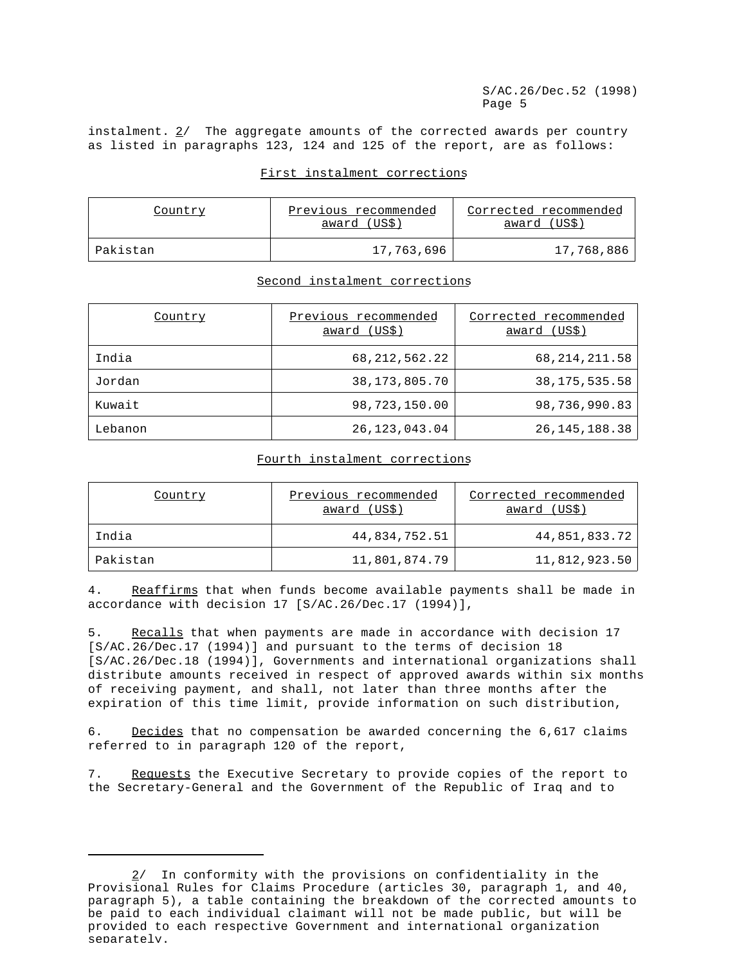instalment. 2/ The aggregate amounts of the corrected awards per country as listed in paragraphs 123, 124 and 125 of the report, are as follows:

#### First instalment corrections

| Country  | Previous recommended<br><u>award</u> (US\$) | Corrected recommended<br>award (USS) |
|----------|---------------------------------------------|--------------------------------------|
| Pakistan | 17,763,696                                  | 17,768,886                           |

## Second instalment corrections

| Country | Previous recommended<br>award (US\$) | Corrected recommended<br>award (US\$) |
|---------|--------------------------------------|---------------------------------------|
| India   | 68, 212, 562. 22                     | 68, 214, 211.58                       |
| Jordan  | 38, 173, 805. 70                     | 38, 175, 535. 58                      |
| Kuwait  | 98,723,150.00                        | 98,736,990.83                         |
| Lebanon | 26, 123, 043. 04                     | 26, 145, 188. 38                      |

#### Fourth instalment corrections

| Country  | Previous recommended<br>award (US\$) | Corrected recommended<br>award (US\$) |
|----------|--------------------------------------|---------------------------------------|
| India    | 44,834,752.51                        | 44,851,833.72                         |
| Pakistan | 11,801,874.79                        | 11,812,923.50                         |

4. Reaffirms that when funds become available payments shall be made in accordance with decision 17 [S/AC.26/Dec.17 (1994)],

5. Recalls that when payments are made in accordance with decision 17 [S/AC.26/Dec.17 (1994)] and pursuant to the terms of decision 18 [S/AC.26/Dec.18 (1994)], Governments and international organizations shall distribute amounts received in respect of approved awards within six months of receiving payment, and shall, not later than three months after the expiration of this time limit, provide information on such distribution,

6. Decides that no compensation be awarded concerning the 6,617 claims referred to in paragraph 120 of the report,

7. Requests the Executive Secretary to provide copies of the report to the Secretary-General and the Government of the Republic of Iraq and to

<sup>2/</sup> In conformity with the provisions on confidentiality in the Provisional Rules for Claims Procedure (articles 30, paragraph 1, and 40, paragraph 5), a table containing the breakdown of the corrected amounts to be paid to each individual claimant will not be made public, but will be provided to each respective Government and international organization separately.